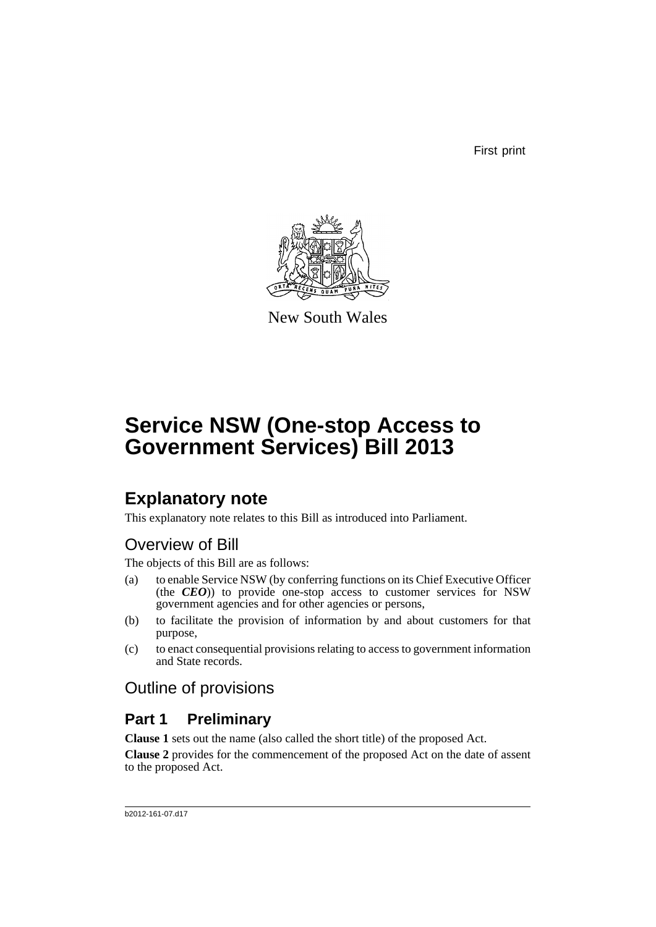First print



New South Wales

# **Service NSW (One-stop Access to Government Services) Bill 2013**

# **Explanatory note**

This explanatory note relates to this Bill as introduced into Parliament.

## Overview of Bill

The objects of this Bill are as follows:

- (a) to enable Service NSW (by conferring functions on its Chief Executive Officer (the *CEO*)) to provide one-stop access to customer services for NSW government agencies and for other agencies or persons,
- (b) to facilitate the provision of information by and about customers for that purpose,
- (c) to enact consequential provisions relating to access to government information and State records.

## Outline of provisions

## **Part 1 Preliminary**

**Clause 1** sets out the name (also called the short title) of the proposed Act.

**Clause 2** provides for the commencement of the proposed Act on the date of assent to the proposed Act.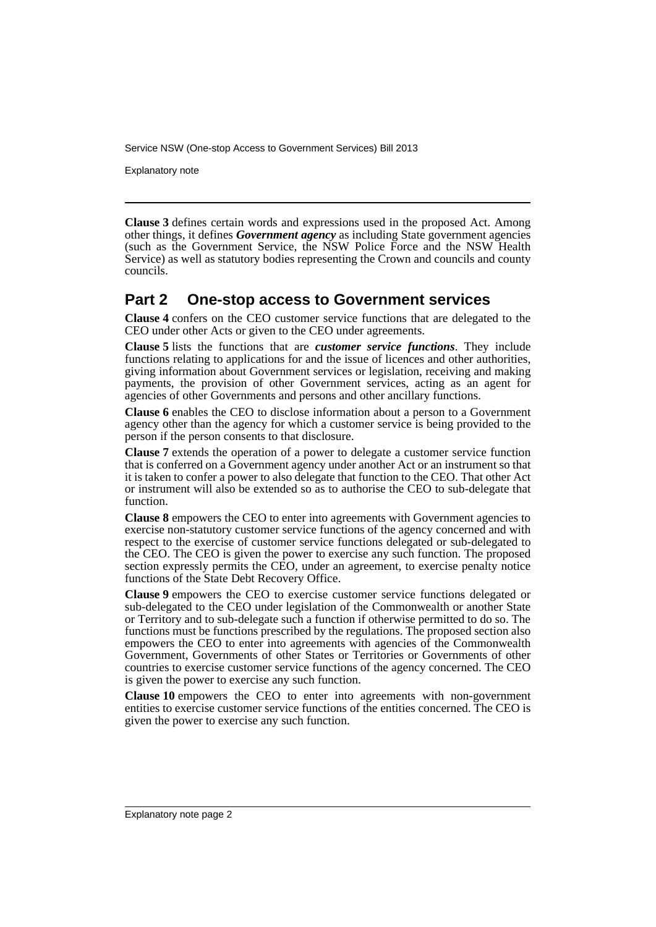Explanatory note

**Clause 3** defines certain words and expressions used in the proposed Act. Among other things, it defines *Government agency* as including State government agencies (such as the Government Service, the NSW Police Force and the NSW Health Service) as well as statutory bodies representing the Crown and councils and county councils.

## **Part 2 One-stop access to Government services**

**Clause 4** confers on the CEO customer service functions that are delegated to the CEO under other Acts or given to the CEO under agreements.

**Clause 5** lists the functions that are *customer service functions*. They include functions relating to applications for and the issue of licences and other authorities, giving information about Government services or legislation, receiving and making payments, the provision of other Government services, acting as an agent for agencies of other Governments and persons and other ancillary functions.

**Clause 6** enables the CEO to disclose information about a person to a Government agency other than the agency for which a customer service is being provided to the person if the person consents to that disclosure.

**Clause 7** extends the operation of a power to delegate a customer service function that is conferred on a Government agency under another Act or an instrument so that it is taken to confer a power to also delegate that function to the CEO. That other Act or instrument will also be extended so as to authorise the CEO to sub-delegate that function.

**Clause 8** empowers the CEO to enter into agreements with Government agencies to exercise non-statutory customer service functions of the agency concerned and with respect to the exercise of customer service functions delegated or sub-delegated to the CEO. The CEO is given the power to exercise any such function. The proposed section expressly permits the CEO, under an agreement, to exercise penalty notice functions of the State Debt Recovery Office.

**Clause 9** empowers the CEO to exercise customer service functions delegated or sub-delegated to the CEO under legislation of the Commonwealth or another State or Territory and to sub-delegate such a function if otherwise permitted to do so. The functions must be functions prescribed by the regulations. The proposed section also empowers the CEO to enter into agreements with agencies of the Commonwealth Government, Governments of other States or Territories or Governments of other countries to exercise customer service functions of the agency concerned. The CEO is given the power to exercise any such function.

**Clause 10** empowers the CEO to enter into agreements with non-government entities to exercise customer service functions of the entities concerned. The CEO is given the power to exercise any such function.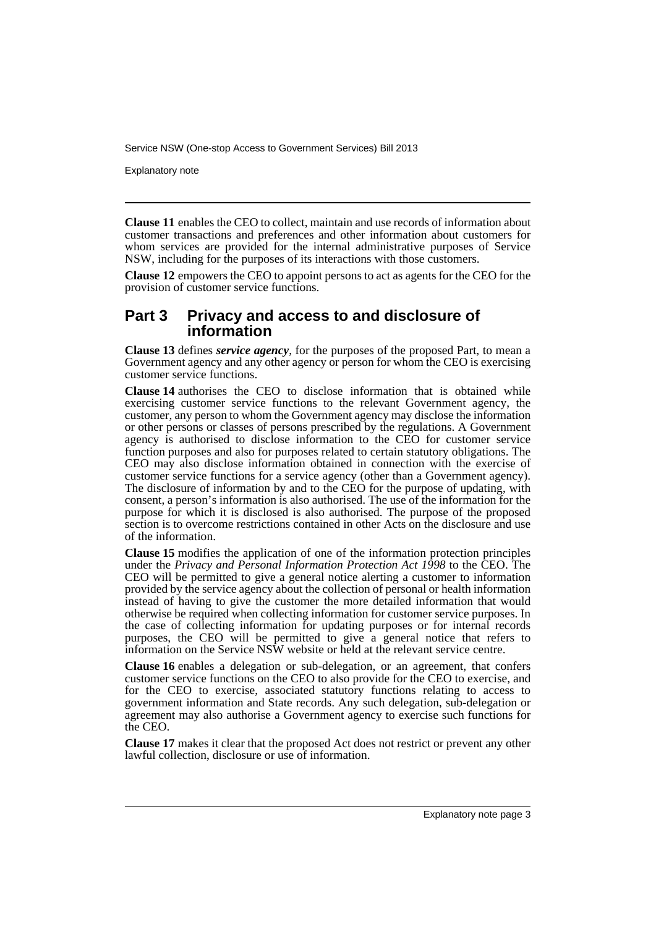Explanatory note

**Clause 11** enables the CEO to collect, maintain and use records of information about customer transactions and preferences and other information about customers for whom services are provided for the internal administrative purposes of Service NSW, including for the purposes of its interactions with those customers.

**Clause 12** empowers the CEO to appoint persons to act as agents for the CEO for the provision of customer service functions.

## **Part 3 Privacy and access to and disclosure of information**

**Clause 13** defines *service agency*, for the purposes of the proposed Part, to mean a Government agency and any other agency or person for whom the CEO is exercising customer service functions.

**Clause 14** authorises the CEO to disclose information that is obtained while exercising customer service functions to the relevant Government agency, the customer, any person to whom the Government agency may disclose the information or other persons or classes of persons prescribed by the regulations. A Government agency is authorised to disclose information to the CEO for customer service function purposes and also for purposes related to certain statutory obligations. The CEO may also disclose information obtained in connection with the exercise of customer service functions for a service agency (other than a Government agency). The disclosure of information by and to the CEO for the purpose of updating, with consent, a person's information is also authorised. The use of the information for the purpose for which it is disclosed is also authorised. The purpose of the proposed section is to overcome restrictions contained in other Acts on the disclosure and use of the information.

**Clause 15** modifies the application of one of the information protection principles under the *Privacy and Personal Information Protection Act 1998* to the CEO. The CEO will be permitted to give a general notice alerting a customer to information provided by the service agency about the collection of personal or health information instead of having to give the customer the more detailed information that would otherwise be required when collecting information for customer service purposes. In the case of collecting information for updating purposes or for internal records purposes, the CEO will be permitted to give a general notice that refers to information on the Service NSW website or held at the relevant service centre.

**Clause 16** enables a delegation or sub-delegation, or an agreement, that confers customer service functions on the CEO to also provide for the CEO to exercise, and for the CEO to exercise, associated statutory functions relating to access to government information and State records. Any such delegation, sub-delegation or agreement may also authorise a Government agency to exercise such functions for the CEO.

**Clause 17** makes it clear that the proposed Act does not restrict or prevent any other lawful collection, disclosure or use of information.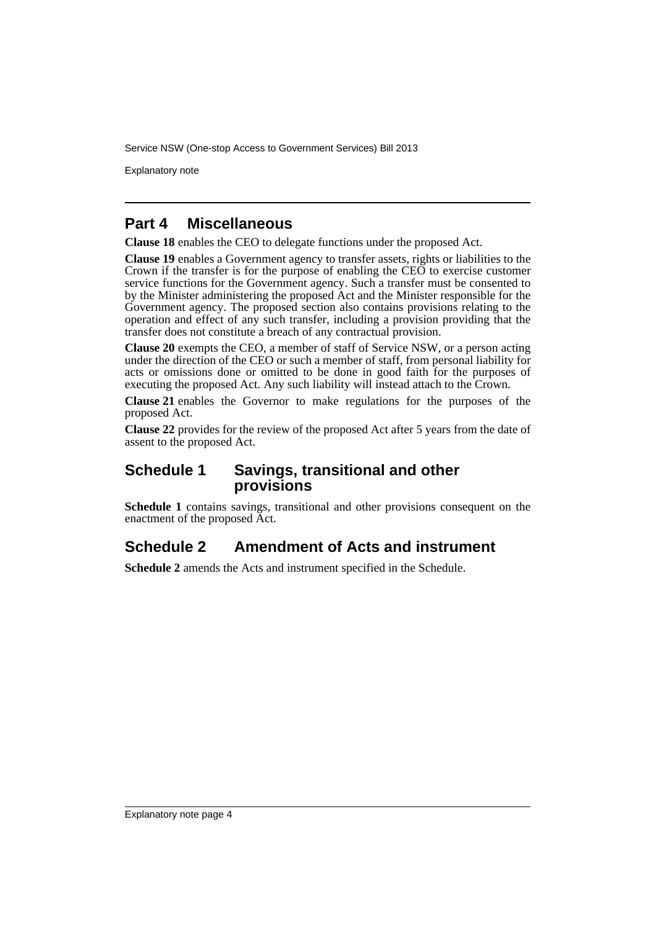Explanatory note

## **Part 4 Miscellaneous**

**Clause 18** enables the CEO to delegate functions under the proposed Act.

**Clause 19** enables a Government agency to transfer assets, rights or liabilities to the Crown if the transfer is for the purpose of enabling the CEO to exercise customer service functions for the Government agency. Such a transfer must be consented to by the Minister administering the proposed Act and the Minister responsible for the Government agency. The proposed section also contains provisions relating to the operation and effect of any such transfer, including a provision providing that the transfer does not constitute a breach of any contractual provision.

**Clause 20** exempts the CEO, a member of staff of Service NSW, or a person acting under the direction of the CEO or such a member of staff, from personal liability for acts or omissions done or omitted to be done in good faith for the purposes of executing the proposed Act. Any such liability will instead attach to the Crown.

**Clause 21** enables the Governor to make regulations for the purposes of the proposed Act.

**Clause 22** provides for the review of the proposed Act after 5 years from the date of assent to the proposed Act.

## **Schedule 1 Savings, transitional and other provisions**

**Schedule 1** contains savings, transitional and other provisions consequent on the enactment of the proposed Act.

## **Schedule 2 Amendment of Acts and instrument**

**Schedule 2** amends the Acts and instrument specified in the Schedule.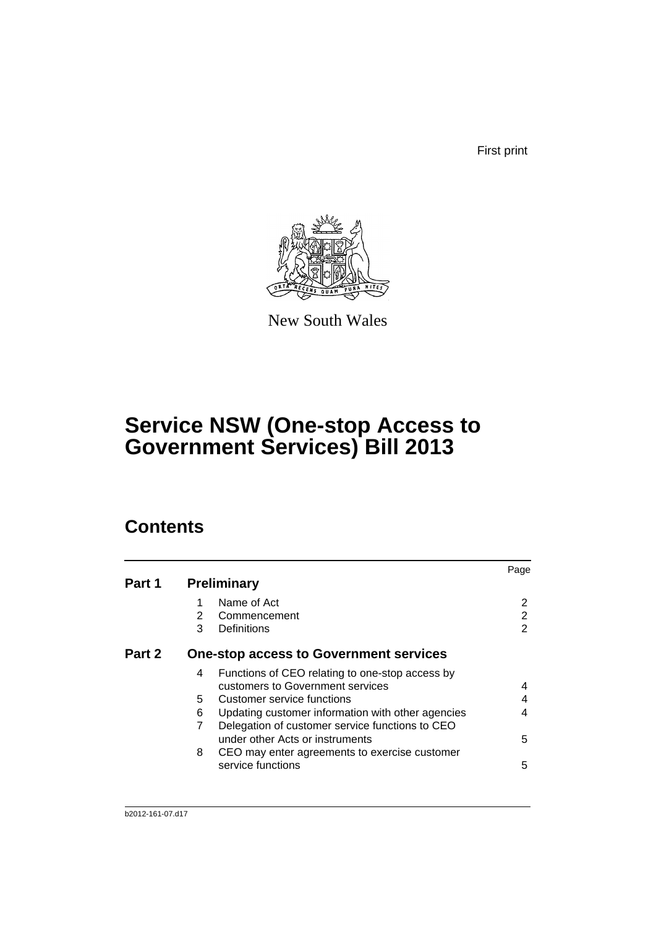First print



New South Wales

# **Service NSW (One-stop Access to Government Services) Bill 2013**

# **Contents**

|        |                                                        | Page |
|--------|--------------------------------------------------------|------|
| Part 1 | <b>Preliminary</b>                                     |      |
|        | Name of Act                                            |      |
|        | 2<br>Commencement                                      | 2    |
|        | 3<br>Definitions                                       | 2    |
| Part 2 | <b>One-stop access to Government services</b>          |      |
|        | Functions of CEO relating to one-stop access by<br>4   |      |
|        | customers to Government services                       | 4    |
|        | 5<br>Customer service functions                        |      |
|        | 6<br>Updating customer information with other agencies | 4    |
|        | Delegation of customer service functions to CEO        |      |
|        | under other Acts or instruments                        | 5    |
|        | 8<br>CEO may enter agreements to exercise customer     |      |
|        | service functions                                      | 5    |
|        |                                                        |      |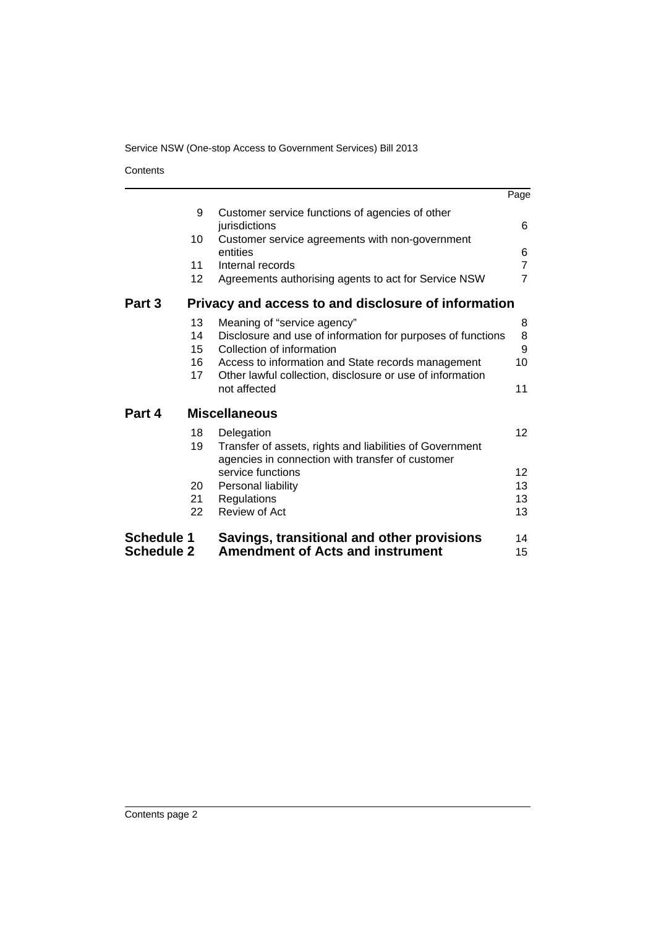**Contents** 

|                   |    |                                                                                                              | Page            |
|-------------------|----|--------------------------------------------------------------------------------------------------------------|-----------------|
|                   | 9  | Customer service functions of agencies of other<br>jurisdictions                                             | 6               |
|                   | 10 | Customer service agreements with non-government<br>entities                                                  | 6               |
|                   | 11 | Internal records                                                                                             | $\overline{7}$  |
|                   | 12 | Agreements authorising agents to act for Service NSW                                                         | $\overline{7}$  |
| Part 3            |    | Privacy and access to and disclosure of information                                                          |                 |
|                   | 13 | Meaning of "service agency"                                                                                  | 8               |
|                   | 14 | Disclosure and use of information for purposes of functions                                                  | 8               |
|                   | 15 | Collection of information                                                                                    | 9               |
|                   | 16 | Access to information and State records management                                                           | 10              |
|                   | 17 | Other lawful collection, disclosure or use of information                                                    |                 |
|                   |    | not affected                                                                                                 | 11              |
| Part 4            |    | <b>Miscellaneous</b>                                                                                         |                 |
|                   | 18 | Delegation                                                                                                   | 12 <sup>2</sup> |
|                   | 19 | Transfer of assets, rights and liabilities of Government<br>agencies in connection with transfer of customer |                 |
|                   |    | service functions                                                                                            | 12              |
|                   | 20 | Personal liability                                                                                           | 13              |
|                   | 21 | Regulations                                                                                                  | 13              |
|                   | 22 | Review of Act                                                                                                | 13              |
|                   |    |                                                                                                              |                 |
| <b>Schedule 1</b> |    | Savings, transitional and other provisions                                                                   | 14              |
| <b>Schedule 2</b> |    | <b>Amendment of Acts and instrument</b>                                                                      | 15              |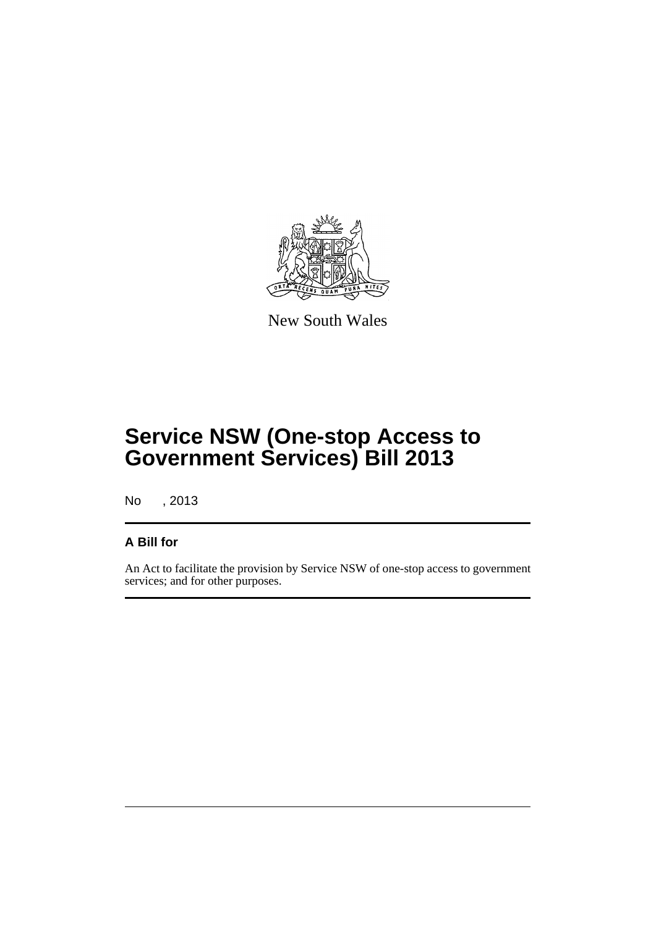

New South Wales

# **Service NSW (One-stop Access to Government Services) Bill 2013**

No , 2013

## **A Bill for**

An Act to facilitate the provision by Service NSW of one-stop access to government services; and for other purposes.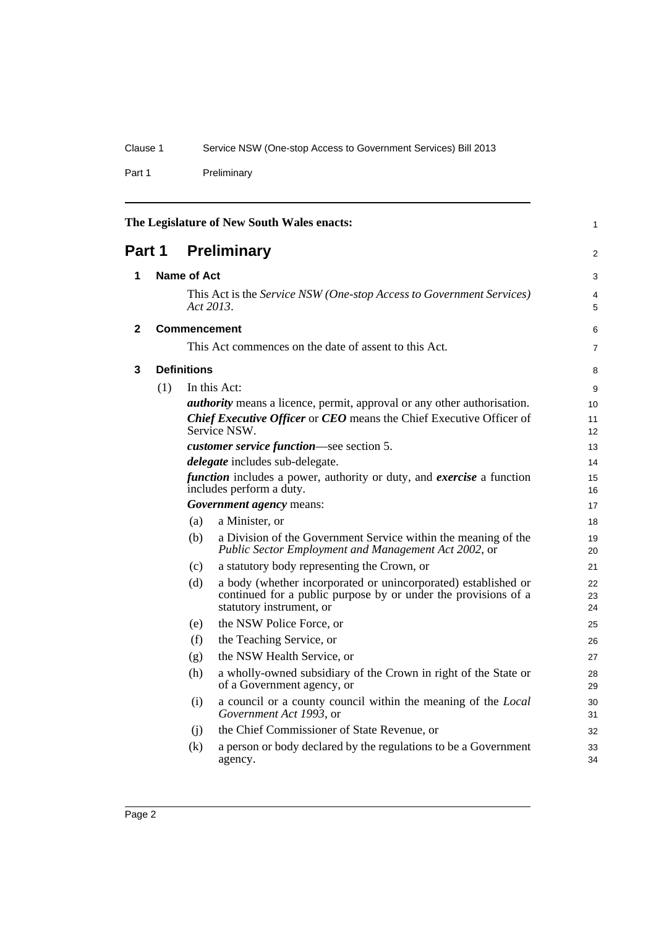Part 1 Preliminary

<span id="page-7-3"></span><span id="page-7-2"></span><span id="page-7-1"></span><span id="page-7-0"></span>

| The Legislature of New South Wales enacts:<br>1 |                                                    |                    |                                                                                                                                                              |                |
|-------------------------------------------------|----------------------------------------------------|--------------------|--------------------------------------------------------------------------------------------------------------------------------------------------------------|----------------|
| Part 1                                          |                                                    |                    | <b>Preliminary</b>                                                                                                                                           | 2              |
| 1                                               |                                                    | Name of Act        |                                                                                                                                                              | 3              |
|                                                 |                                                    |                    | This Act is the Service NSW (One-stop Access to Government Services)<br>Act 2013.                                                                            | 4<br>5         |
| 2                                               |                                                    |                    | <b>Commencement</b>                                                                                                                                          | 6              |
|                                                 |                                                    |                    | This Act commences on the date of assent to this Act.                                                                                                        | 7              |
| 3                                               |                                                    | <b>Definitions</b> |                                                                                                                                                              | 8              |
|                                                 | (1)                                                |                    | In this Act:                                                                                                                                                 | 9              |
|                                                 |                                                    |                    | <i>authority</i> means a licence, permit, approval or any other authorisation.                                                                               | 10             |
|                                                 |                                                    |                    | <b>Chief Executive Officer or CEO</b> means the Chief Executive Officer of                                                                                   | 11             |
|                                                 |                                                    |                    | Service NSW.                                                                                                                                                 | 12             |
|                                                 |                                                    |                    | customer service function—see section 5.                                                                                                                     | 13             |
|                                                 |                                                    |                    | <i>delegate</i> includes sub-delegate.                                                                                                                       | 14             |
|                                                 |                                                    |                    | <i>function</i> includes a power, authority or duty, and <i>exercise</i> a function<br>includes perform a duty.                                              | 15<br>16       |
|                                                 |                                                    |                    | Government agency means:                                                                                                                                     | 17             |
|                                                 |                                                    | (a)                | a Minister, or                                                                                                                                               | 18             |
|                                                 |                                                    | (b)                | a Division of the Government Service within the meaning of the<br>Public Sector Employment and Management Act 2002, or                                       | 19<br>20       |
|                                                 |                                                    | (c)                | a statutory body representing the Crown, or                                                                                                                  | 21             |
|                                                 |                                                    | (d)                | a body (whether incorporated or unincorporated) established or<br>continued for a public purpose by or under the provisions of a<br>statutory instrument, or | 22<br>23<br>24 |
|                                                 |                                                    | (e)                | the NSW Police Force, or                                                                                                                                     | 25             |
|                                                 |                                                    | (f)                | the Teaching Service, or                                                                                                                                     | 26             |
|                                                 |                                                    | (g)                | the NSW Health Service, or                                                                                                                                   | 27             |
|                                                 |                                                    | (h)                | a wholly-owned subsidiary of the Crown in right of the State or<br>of a Government agency, or                                                                | 28<br>29       |
|                                                 |                                                    | (i)                | a council or a county council within the meaning of the Local<br>Government Act 1993, or                                                                     | 30<br>31       |
|                                                 | the Chief Commissioner of State Revenue, or<br>(i) |                    |                                                                                                                                                              |                |
|                                                 |                                                    | (k)                | a person or body declared by the regulations to be a Government<br>agency.                                                                                   | 33<br>34       |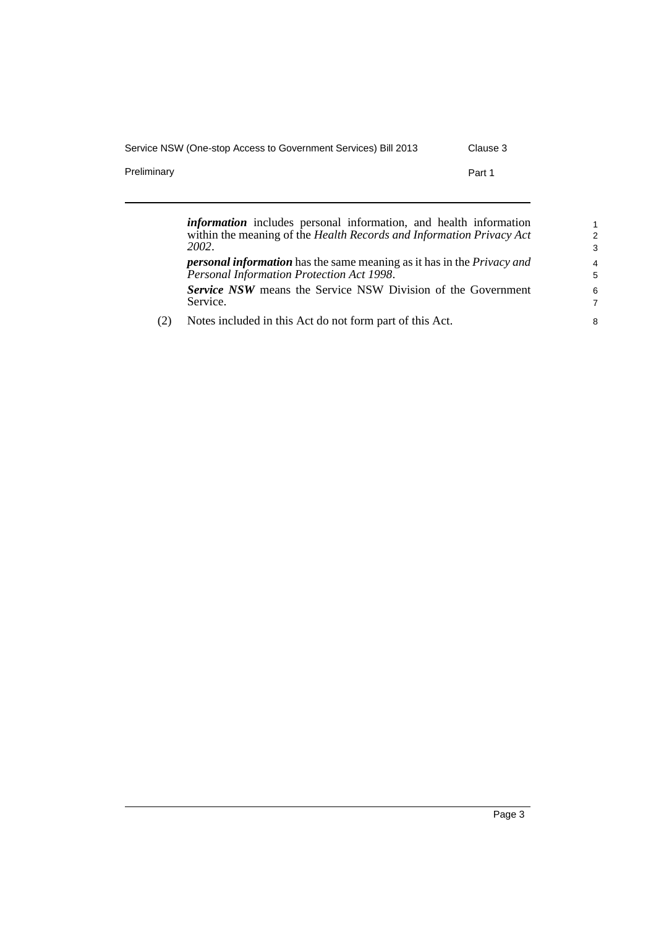(2) Notes included in this Act do not form part of this Act.

Preliminary **Preliminary Part 1** 

*2002*.

Service.

*information* includes personal information, and health information within the meaning of the *Health Records and Information Privacy Act personal information* has the same meaning as it has in the *Privacy and Personal Information Protection Act 1998*. *Service NSW* means the Service NSW Division of the Government

Page 3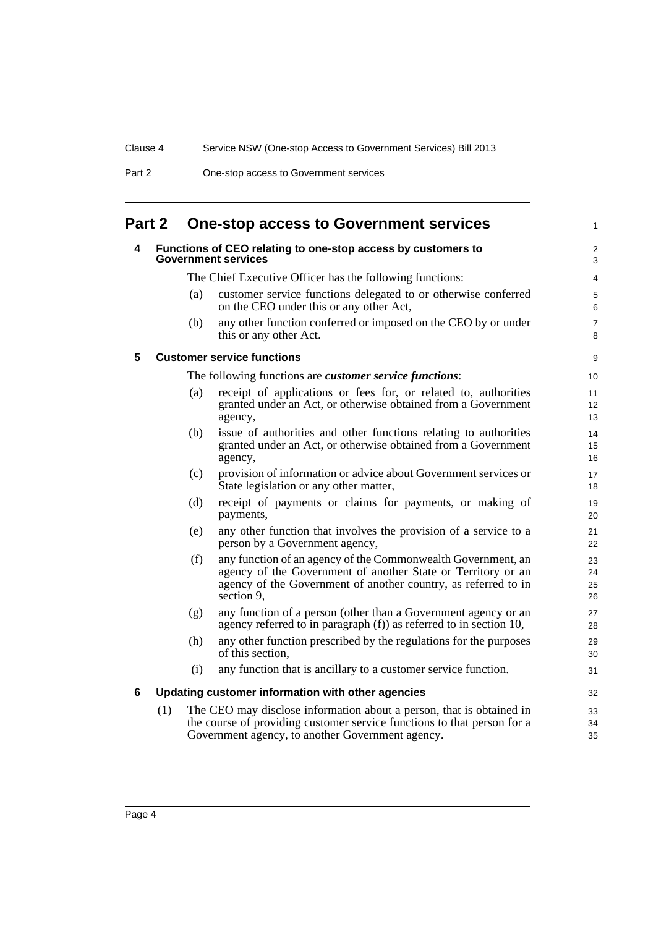| Part 2 | One-stop access to Government services |
|--------|----------------------------------------|
|--------|----------------------------------------|

# <span id="page-9-1"></span><span id="page-9-0"></span>**Part 2 One-stop access to Government services**

<span id="page-9-3"></span><span id="page-9-2"></span>

| 4 |     |     | Functions of CEO relating to one-stop access by customers to<br><b>Government services</b>                                                                                                                   | $\boldsymbol{2}$<br>3 |
|---|-----|-----|--------------------------------------------------------------------------------------------------------------------------------------------------------------------------------------------------------------|-----------------------|
|   |     |     | The Chief Executive Officer has the following functions:                                                                                                                                                     | 4                     |
|   |     | (a) | customer service functions delegated to or otherwise conferred<br>on the CEO under this or any other Act,                                                                                                    | 5<br>6                |
|   |     | (b) | any other function conferred or imposed on the CEO by or under<br>this or any other Act.                                                                                                                     | $\overline{7}$<br>8   |
| 5 |     |     | <b>Customer service functions</b>                                                                                                                                                                            | $\boldsymbol{9}$      |
|   |     |     | The following functions are <i>customer service functions</i> :                                                                                                                                              | 10                    |
|   |     | (a) | receipt of applications or fees for, or related to, authorities<br>granted under an Act, or otherwise obtained from a Government<br>agency,                                                                  | 11<br>12<br>13        |
|   |     | (b) | issue of authorities and other functions relating to authorities<br>granted under an Act, or otherwise obtained from a Government<br>agency,                                                                 | 14<br>15<br>16        |
|   |     | (c) | provision of information or advice about Government services or<br>State legislation or any other matter,                                                                                                    | 17<br>18              |
|   |     | (d) | receipt of payments or claims for payments, or making of<br>payments,                                                                                                                                        | 19<br>20              |
|   |     | (e) | any other function that involves the provision of a service to a<br>person by a Government agency,                                                                                                           | 21<br>22              |
|   |     | (f) | any function of an agency of the Commonwealth Government, an<br>agency of the Government of another State or Territory or an<br>agency of the Government of another country, as referred to in<br>section 9. | 23<br>24<br>25<br>26  |
|   |     | (g) | any function of a person (other than a Government agency or an<br>agency referred to in paragraph $(f)$ ) as referred to in section 10,                                                                      | 27<br>28              |
|   |     | (h) | any other function prescribed by the regulations for the purposes<br>of this section.                                                                                                                        | 29<br>30              |
|   |     | (i) | any function that is ancillary to a customer service function.                                                                                                                                               | 31                    |
| 6 |     |     | Updating customer information with other agencies                                                                                                                                                            | 32                    |
|   | (1) |     | The CEO may disclose information about a person, that is obtained in<br>the course of providing customer service functions to that person for a<br>Government agency, to another Government agency.          | 33<br>34<br>35        |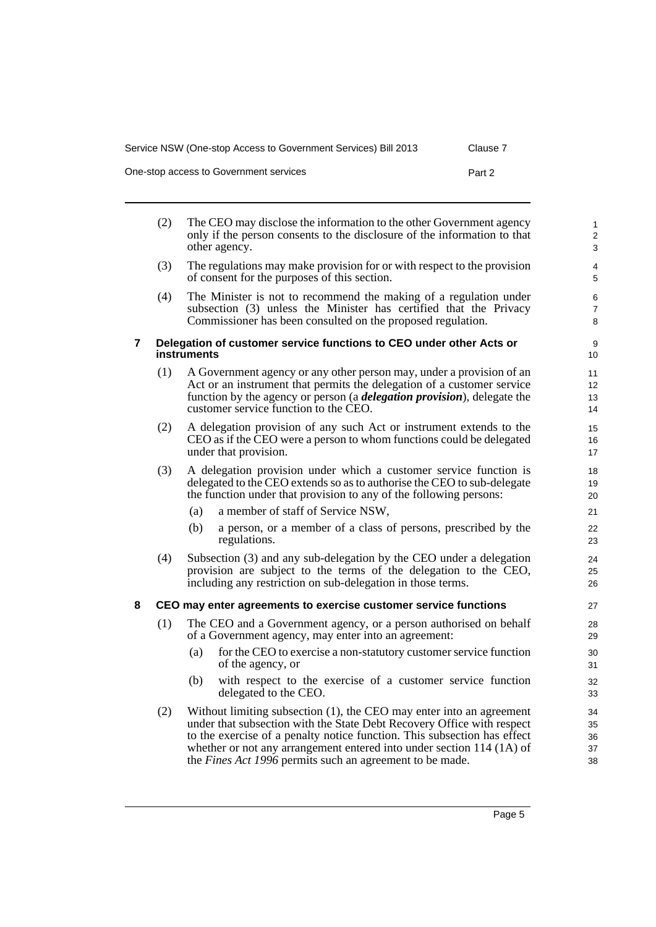| Service NSW (One-stop Access to Government Services) Bill 2013 | Clause 7 |
|----------------------------------------------------------------|----------|
| One-stop access to Government services                         | Part 2   |

<span id="page-10-0"></span>

|   | (2) | The CEO may disclose the information to the other Government agency<br>only if the person consents to the disclosure of the information to that<br>other agency.                                                                                                           | 1<br>$\boldsymbol{2}$<br>3 |
|---|-----|----------------------------------------------------------------------------------------------------------------------------------------------------------------------------------------------------------------------------------------------------------------------------|----------------------------|
|   | (3) | The regulations may make provision for or with respect to the provision<br>of consent for the purposes of this section.                                                                                                                                                    | 4<br>5                     |
|   | (4) | The Minister is not to recommend the making of a regulation under<br>subsection (3) unless the Minister has certified that the Privacy<br>Commissioner has been consulted on the proposed regulation.                                                                      | 6<br>$\overline{7}$<br>8   |
| 7 |     | Delegation of customer service functions to CEO under other Acts or<br>instruments                                                                                                                                                                                         | 9<br>10                    |
|   | (1) | A Government agency or any other person may, under a provision of an<br>Act or an instrument that permits the delegation of a customer service<br>function by the agency or person (a <i>delegation provision</i> ), delegate the<br>customer service function to the CEO. | 11<br>12<br>13<br>14       |
|   | (2) | A delegation provision of any such Act or instrument extends to the<br>CEO as if the CEO were a person to whom functions could be delegated<br>under that provision.                                                                                                       | 15<br>16<br>17             |
|   | (3) | A delegation provision under which a customer service function is<br>delegated to the CEO extends so as to authorise the CEO to sub-delegate<br>the function under that provision to any of the following persons:                                                         | 18<br>19<br>20             |
|   |     | a member of staff of Service NSW,<br>(a)                                                                                                                                                                                                                                   | 21                         |
|   |     | (b)<br>a person, or a member of a class of persons, prescribed by the<br>regulations.                                                                                                                                                                                      | 22<br>23                   |
|   | (4) | Subsection (3) and any sub-delegation by the CEO under a delegation<br>provision are subject to the terms of the delegation to the CEO,<br>including any restriction on sub-delegation in those terms.                                                                     | 24<br>25<br>26             |
| 8 |     | CEO may enter agreements to exercise customer service functions                                                                                                                                                                                                            | 27                         |
|   | (1) | The CEO and a Government agency, or a person authorised on behalf<br>of a Government agency, may enter into an agreement:                                                                                                                                                  | 28<br>29                   |
|   |     | for the CEO to exercise a non-statutory customer service function<br>(a)<br>of the agency, or                                                                                                                                                                              | 30<br>31                   |
|   |     | (b)<br>with respect to the exercise of a customer service function<br>delegated to the CEO.                                                                                                                                                                                | 32<br>33                   |
|   | (2) | Without limiting subsection (1), the CEO may enter into an agreement<br>under that subsection with the State Debt Recovery Office with respect                                                                                                                             | 34<br>35                   |

<span id="page-10-1"></span>under that subsection with the State Debt Recovery Office with respect to the exercise of a penalty notice function. This subsection has effect whether or not any arrangement entered into under section 114 (1A) of the *Fines Act 1996* permits such an agreement to be made.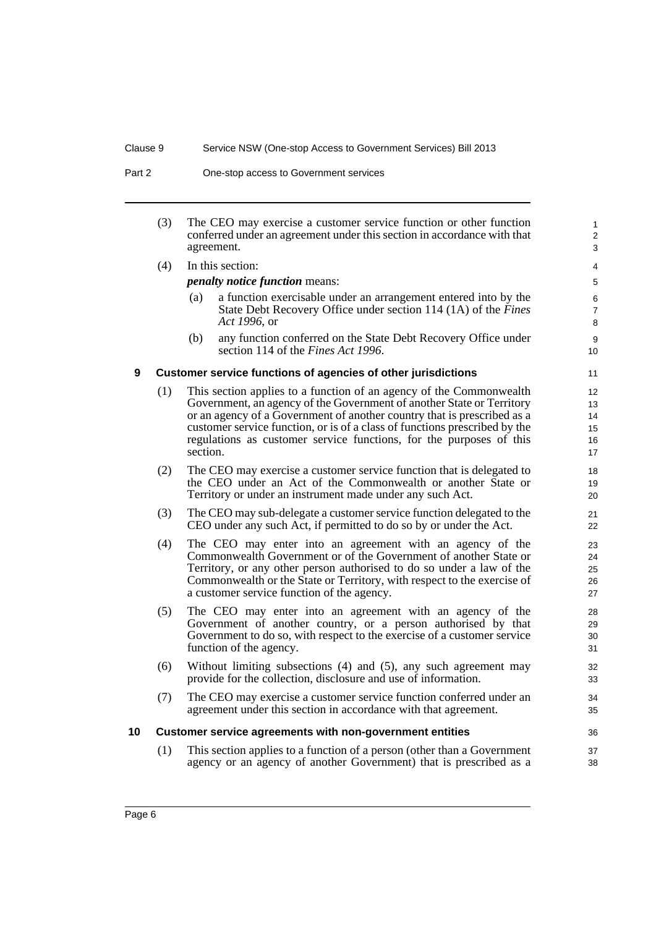| Part 2 | One-stop access to Government services |
|--------|----------------------------------------|
|--------|----------------------------------------|

(3) The CEO may exercise a customer service function or other function conferred under an agreement under this section in accordance with that agreement.

(4) In this section:

*penalty notice function* means:

(a) a function exercisable under an arrangement entered into by the State Debt Recovery Office under section 114 (1A) of the *Fines Act 1996*, or

36 37 38

(b) any function conferred on the State Debt Recovery Office under section 114 of the *Fines Act 1996*.

#### <span id="page-11-0"></span>**9 Customer service functions of agencies of other jurisdictions**

- (1) This section applies to a function of an agency of the Commonwealth Government, an agency of the Government of another State or Territory or an agency of a Government of another country that is prescribed as a customer service function, or is of a class of functions prescribed by the regulations as customer service functions, for the purposes of this section.
- (2) The CEO may exercise a customer service function that is delegated to the CEO under an Act of the Commonwealth or another State or Territory or under an instrument made under any such Act.
- (3) The CEO may sub-delegate a customer service function delegated to the CEO under any such Act, if permitted to do so by or under the Act.
- (4) The CEO may enter into an agreement with an agency of the Commonwealth Government or of the Government of another State or Territory, or any other person authorised to do so under a law of the Commonwealth or the State or Territory, with respect to the exercise of a customer service function of the agency.
- (5) The CEO may enter into an agreement with an agency of the Government of another country, or a person authorised by that Government to do so, with respect to the exercise of a customer service function of the agency.
- (6) Without limiting subsections (4) and (5), any such agreement may provide for the collection, disclosure and use of information.
- (7) The CEO may exercise a customer service function conferred under an agreement under this section in accordance with that agreement.

#### <span id="page-11-1"></span>**10 Customer service agreements with non-government entities**

(1) This section applies to a function of a person (other than a Government agency or an agency of another Government) that is prescribed as a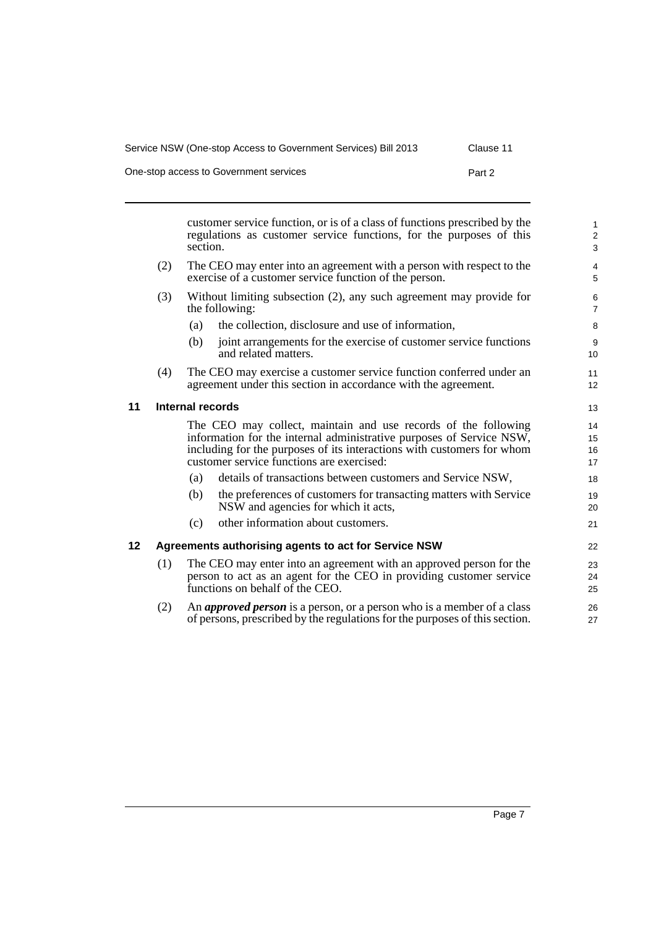One-stop access to Government services **Part 2** 

<span id="page-12-1"></span><span id="page-12-0"></span>

|         |     | section.                | customer service function, or is of a class of functions prescribed by the<br>regulations as customer service functions, for the purposes of this                                                                                                             | $\mathbf{1}$<br>$\overline{2}$<br>$\sqrt{3}$ |
|---------|-----|-------------------------|---------------------------------------------------------------------------------------------------------------------------------------------------------------------------------------------------------------------------------------------------------------|----------------------------------------------|
|         | (2) |                         | The CEO may enter into an agreement with a person with respect to the<br>exercise of a customer service function of the person.                                                                                                                               | 4<br>5                                       |
|         | (3) |                         | Without limiting subsection (2), any such agreement may provide for<br>the following:                                                                                                                                                                         | 6<br>$\overline{7}$                          |
|         |     | (a)                     | the collection, disclosure and use of information,                                                                                                                                                                                                            | 8                                            |
|         |     | (b)                     | joint arrangements for the exercise of customer service functions<br>and related matters.                                                                                                                                                                     | 9<br>10                                      |
|         | (4) |                         | The CEO may exercise a customer service function conferred under an<br>agreement under this section in accordance with the agreement.                                                                                                                         | 11<br>12                                     |
| 11      |     | <b>Internal records</b> |                                                                                                                                                                                                                                                               | 13                                           |
|         |     |                         | The CEO may collect, maintain and use records of the following<br>information for the internal administrative purposes of Service NSW,<br>including for the purposes of its interactions with customers for whom<br>customer service functions are exercised: | 14<br>15<br>16<br>17                         |
|         |     | (a)                     | details of transactions between customers and Service NSW,                                                                                                                                                                                                    | 18                                           |
|         |     | (b)                     | the preferences of customers for transacting matters with Service<br>NSW and agencies for which it acts,                                                                                                                                                      | 19<br>20                                     |
|         |     | (c)                     | other information about customers.                                                                                                                                                                                                                            | 21                                           |
| $12 \,$ |     |                         | Agreements authorising agents to act for Service NSW                                                                                                                                                                                                          | 22                                           |
|         | (1) |                         | The CEO may enter into an agreement with an approved person for the<br>person to act as an agent for the CEO in providing customer service<br>functions on behalf of the CEO.                                                                                 | 23<br>24<br>25                               |
|         | (2) |                         | An <i>approved person</i> is a person, or a person who is a member of a class<br>of persons, prescribed by the regulations for the purposes of this section.                                                                                                  | 26<br>27                                     |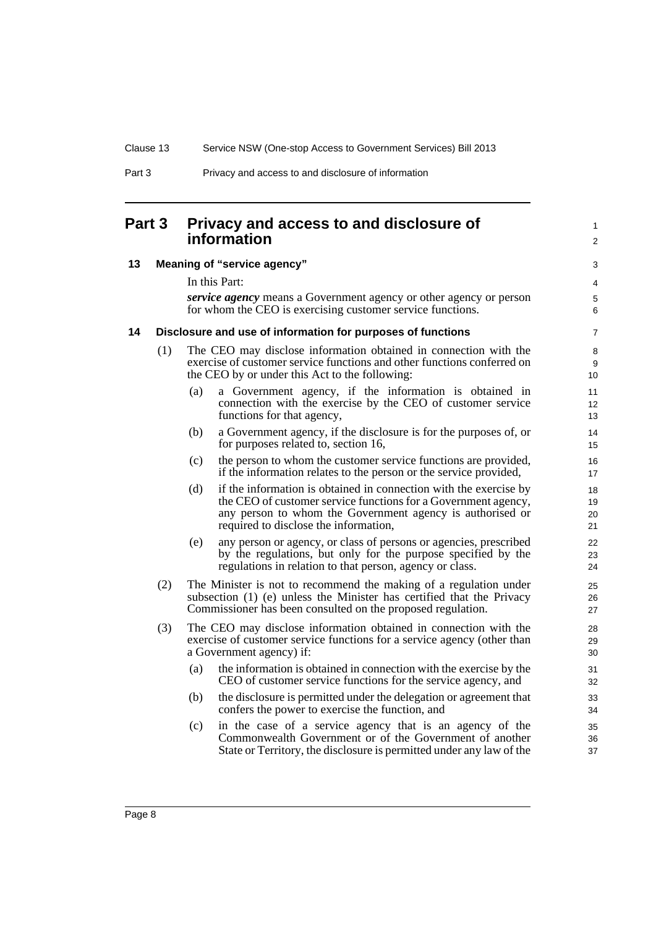### <span id="page-13-0"></span>**Part 3 Privacy and access to and disclosure of information**

#### <span id="page-13-1"></span>**13 Meaning of "service agency"**

In this Part:

*service agency* means a Government agency or other agency or person for whom the CEO is exercising customer service functions.

1  $\mathfrak{p}$ 

#### <span id="page-13-2"></span>**14 Disclosure and use of information for purposes of functions**

- (1) The CEO may disclose information obtained in connection with the exercise of customer service functions and other functions conferred on the CEO by or under this Act to the following:
	- (a) a Government agency, if the information is obtained in connection with the exercise by the CEO of customer service functions for that agency,
	- (b) a Government agency, if the disclosure is for the purposes of, or for purposes related to, section 16,
	- (c) the person to whom the customer service functions are provided, if the information relates to the person or the service provided,
	- (d) if the information is obtained in connection with the exercise by the CEO of customer service functions for a Government agency, any person to whom the Government agency is authorised or required to disclose the information,
	- (e) any person or agency, or class of persons or agencies, prescribed by the regulations, but only for the purpose specified by the regulations in relation to that person, agency or class.
- (2) The Minister is not to recommend the making of a regulation under subsection (1) (e) unless the Minister has certified that the Privacy Commissioner has been consulted on the proposed regulation.
- (3) The CEO may disclose information obtained in connection with the exercise of customer service functions for a service agency (other than a Government agency) if:
	- (a) the information is obtained in connection with the exercise by the CEO of customer service functions for the service agency, and
	- (b) the disclosure is permitted under the delegation or agreement that confers the power to exercise the function, and
	- (c) in the case of a service agency that is an agency of the Commonwealth Government or of the Government of another State or Territory, the disclosure is permitted under any law of the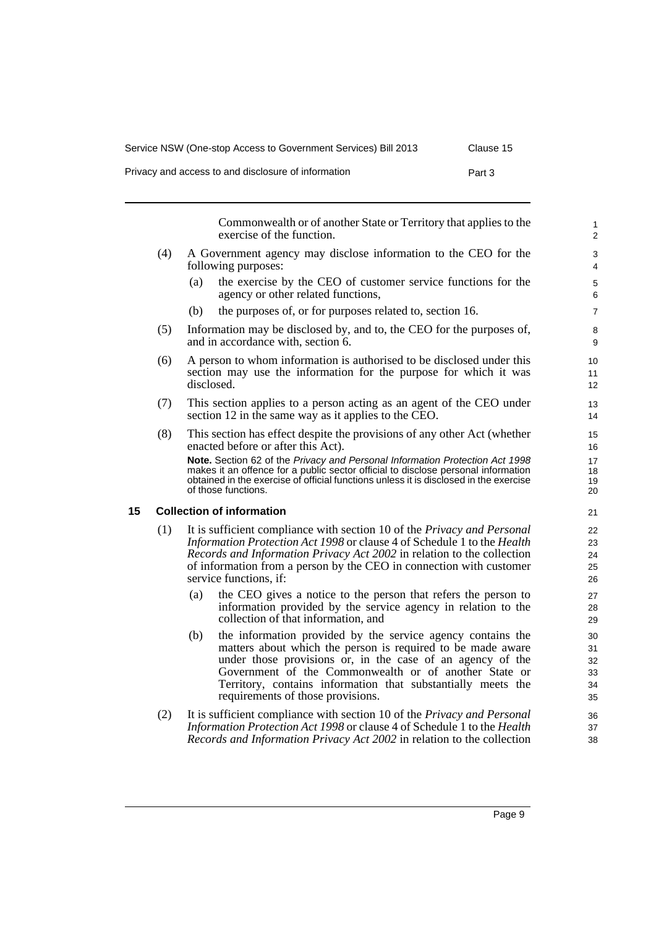| Service NSW (One-stop Access to Government Services) Bill 2013 | Clause 15 |
|----------------------------------------------------------------|-----------|
| Privacy and access to and disclosure of information            | Part 3    |

Commonwealth or of another State or Territory that applies to the exercise of the function.

- (4) A Government agency may disclose information to the CEO for the following purposes:
	- (a) the exercise by the CEO of customer service functions for the agency or other related functions,
	- (b) the purposes of, or for purposes related to, section 16.
- (5) Information may be disclosed by, and to, the CEO for the purposes of, and in accordance with, section 6.
- (6) A person to whom information is authorised to be disclosed under this section may use the information for the purpose for which it was disclosed.
- (7) This section applies to a person acting as an agent of the CEO under section 12 in the same way as it applies to the CEO.
- (8) This section has effect despite the provisions of any other Act (whether enacted before or after this Act).

**Note.** Section 62 of the *Privacy and Personal Information Protection Act 1998* makes it an offence for a public sector official to disclose personal information obtained in the exercise of official functions unless it is disclosed in the exercise of those functions.

#### <span id="page-14-0"></span>**15 Collection of information**

- (1) It is sufficient compliance with section 10 of the *Privacy and Personal Information Protection Act 1998* or clause 4 of Schedule 1 to the *Health Records and Information Privacy Act 2002* in relation to the collection of information from a person by the CEO in connection with customer service functions, if:
	- (a) the CEO gives a notice to the person that refers the person to information provided by the service agency in relation to the collection of that information, and
	- (b) the information provided by the service agency contains the matters about which the person is required to be made aware under those provisions or, in the case of an agency of the Government of the Commonwealth or of another State or Territory, contains information that substantially meets the requirements of those provisions.
- (2) It is sufficient compliance with section 10 of the *Privacy and Personal Information Protection Act 1998* or clause 4 of Schedule 1 to the *Health Records and Information Privacy Act 2002* in relation to the collection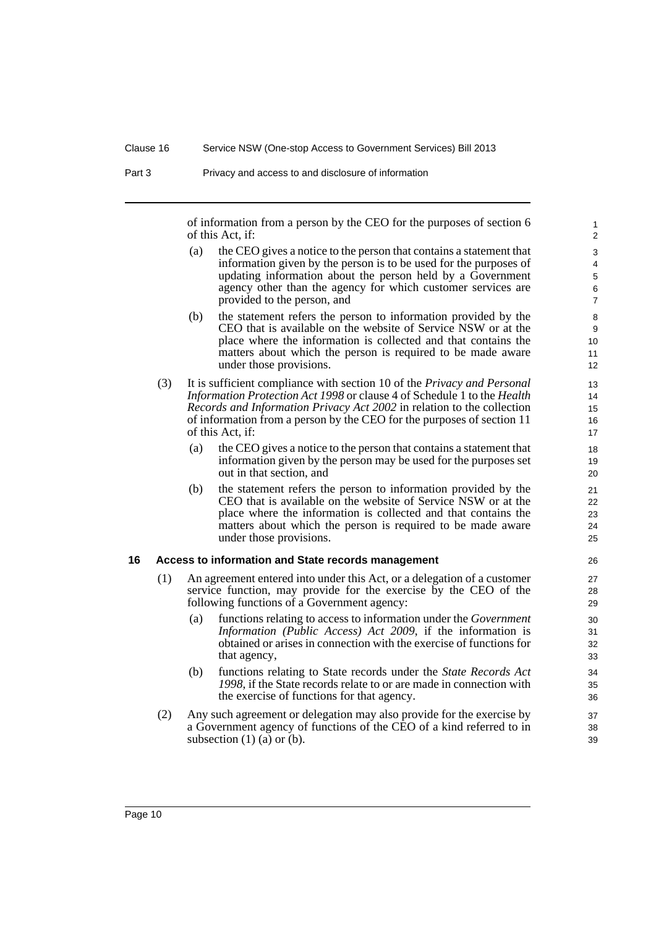of information from a person by the CEO for the purposes of section 6 of this Act, if:

- (a) the CEO gives a notice to the person that contains a statement that information given by the person is to be used for the purposes of updating information about the person held by a Government agency other than the agency for which customer services are provided to the person, and
- (b) the statement refers the person to information provided by the CEO that is available on the website of Service NSW or at the place where the information is collected and that contains the matters about which the person is required to be made aware under those provisions.
- (3) It is sufficient compliance with section 10 of the *Privacy and Personal Information Protection Act 1998* or clause 4 of Schedule 1 to the *Health Records and Information Privacy Act 2002* in relation to the collection of information from a person by the CEO for the purposes of section 11 of this Act, if:
	- (a) the CEO gives a notice to the person that contains a statement that information given by the person may be used for the purposes set out in that section, and
	- (b) the statement refers the person to information provided by the CEO that is available on the website of Service NSW or at the place where the information is collected and that contains the matters about which the person is required to be made aware under those provisions.

#### <span id="page-15-0"></span>**16 Access to information and State records management**

- (1) An agreement entered into under this Act, or a delegation of a customer service function, may provide for the exercise by the CEO of the following functions of a Government agency:
	- (a) functions relating to access to information under the *Government Information (Public Access) Act 2009*, if the information is obtained or arises in connection with the exercise of functions for that agency,
	- (b) functions relating to State records under the *State Records Act 1998*, if the State records relate to or are made in connection with the exercise of functions for that agency.
- (2) Any such agreement or delegation may also provide for the exercise by a Government agency of functions of the CEO of a kind referred to in subsection  $(1)$   $(a)$  or  $(b)$ .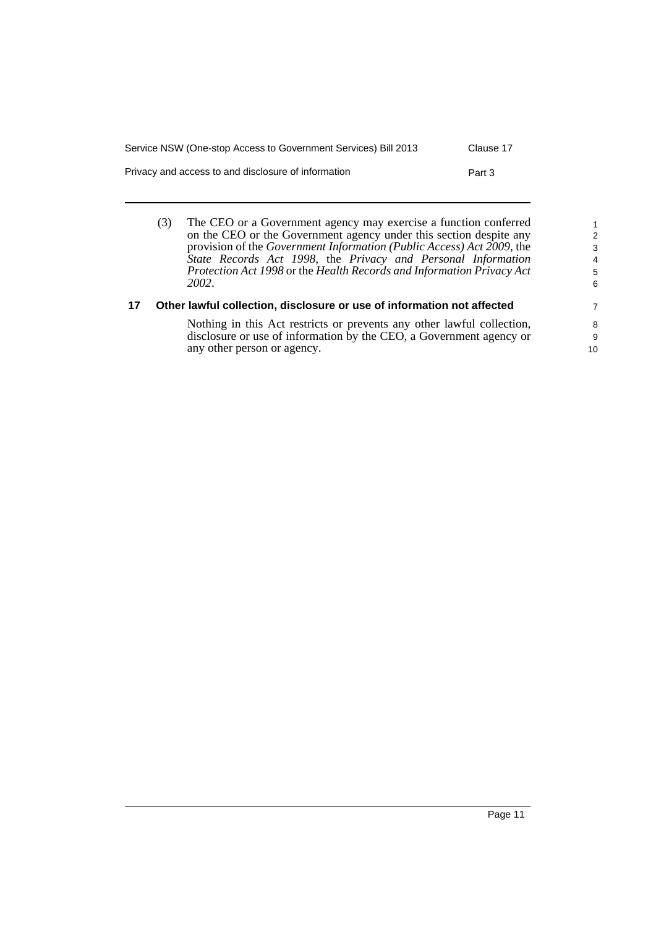| Service NSW (One-stop Access to Government Services) Bill 2013 | Clause 17 |
|----------------------------------------------------------------|-----------|
| Privacy and access to and disclosure of information            | Part 3    |

(3) The CEO or a Government agency may exercise a function conferred on the CEO or the Government agency under this section despite any provision of the *Government Information (Public Access) Act 2009*, the *State Records Act 1998*, the *Privacy and Personal Information Protection Act 1998* or the *Health Records and Information Privacy Act 2002*.

#### <span id="page-16-0"></span>**17 Other lawful collection, disclosure or use of information not affected**

Nothing in this Act restricts or prevents any other lawful collection, disclosure or use of information by the CEO, a Government agency or any other person or agency.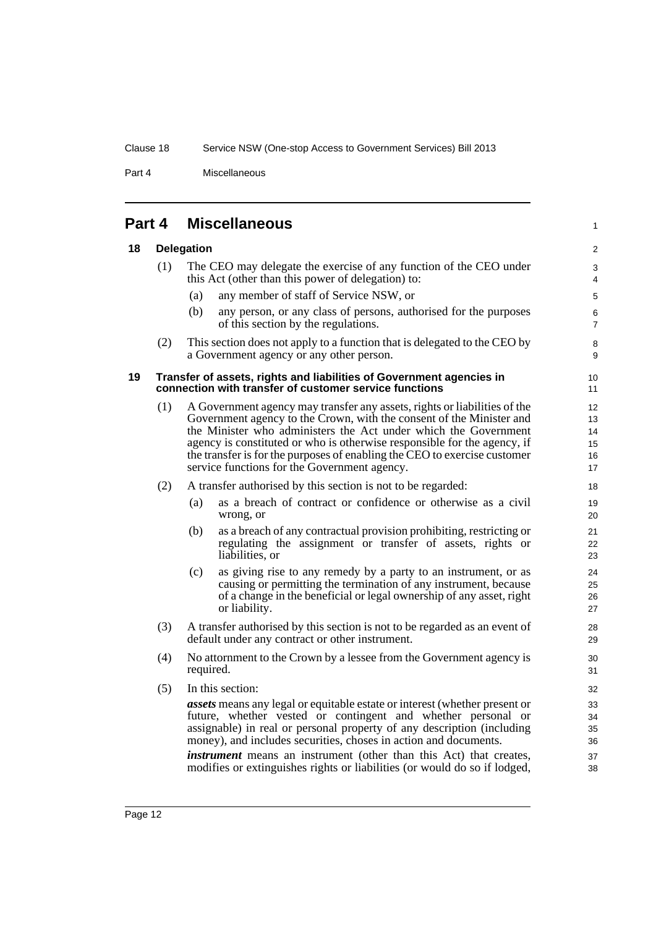Part 4 Miscellaneous

<span id="page-17-1"></span><span id="page-17-0"></span>

| Part 4 | <b>Miscellaneous</b> |
|--------|----------------------|
|        |                      |

### **18 Delegation**

<span id="page-17-2"></span>

|    | (1) |                                                              | The CEO may delegate the exercise of any function of the CEO under<br>this Act (other than this power of delegation) to:                                                                                                                                                                                                                                                                                                      | 3<br>4                           |
|----|-----|--------------------------------------------------------------|-------------------------------------------------------------------------------------------------------------------------------------------------------------------------------------------------------------------------------------------------------------------------------------------------------------------------------------------------------------------------------------------------------------------------------|----------------------------------|
|    |     | (a)                                                          | any member of staff of Service NSW, or                                                                                                                                                                                                                                                                                                                                                                                        | 5                                |
|    |     | (b)                                                          | any person, or any class of persons, authorised for the purposes<br>of this section by the regulations.                                                                                                                                                                                                                                                                                                                       | 6<br>$\overline{7}$              |
|    | (2) |                                                              | This section does not apply to a function that is delegated to the CEO by<br>a Government agency or any other person.                                                                                                                                                                                                                                                                                                         | 8<br>9                           |
| 19 |     |                                                              | Transfer of assets, rights and liabilities of Government agencies in<br>connection with transfer of customer service functions                                                                                                                                                                                                                                                                                                | 10<br>11                         |
|    | (1) |                                                              | A Government agency may transfer any assets, rights or liabilities of the<br>Government agency to the Crown, with the consent of the Minister and<br>the Minister who administers the Act under which the Government<br>agency is constituted or who is otherwise responsible for the agency, if<br>the transfer is for the purposes of enabling the CEO to exercise customer<br>service functions for the Government agency. | 12<br>13<br>14<br>15<br>16<br>17 |
|    | (2) | A transfer authorised by this section is not to be regarded: |                                                                                                                                                                                                                                                                                                                                                                                                                               | 18                               |
|    |     | (a)                                                          | as a breach of contract or confidence or otherwise as a civil<br>wrong, or                                                                                                                                                                                                                                                                                                                                                    | 19<br>20                         |
|    |     | (b)                                                          | as a breach of any contractual provision prohibiting, restricting or<br>regulating the assignment or transfer of assets, rights or<br>liabilities, or                                                                                                                                                                                                                                                                         | 21<br>22<br>23                   |
|    |     | (c)                                                          | as giving rise to any remedy by a party to an instrument, or as<br>causing or permitting the termination of any instrument, because<br>of a change in the beneficial or legal ownership of any asset, right<br>or liability.                                                                                                                                                                                                  | 24<br>25<br>26<br>27             |
|    | (3) |                                                              | A transfer authorised by this section is not to be regarded as an event of<br>default under any contract or other instrument.                                                                                                                                                                                                                                                                                                 | 28<br>29                         |
|    | (4) | required.                                                    | No attornment to the Crown by a lessee from the Government agency is                                                                                                                                                                                                                                                                                                                                                          | 30<br>31                         |
|    | (5) |                                                              | In this section:                                                                                                                                                                                                                                                                                                                                                                                                              | 32                               |
|    |     |                                                              | <i>assets</i> means any legal or equitable estate or interest (whether present or<br>future, whether vested or contingent and whether personal or<br>assignable) in real or personal property of any description (including<br>money), and includes securities, choses in action and documents.                                                                                                                               | 33<br>34<br>35<br>36             |
|    |     |                                                              | <i>instrument</i> means an instrument (other than this Act) that creates,<br>modifies or extinguishes rights or liabilities (or would do so if lodged,                                                                                                                                                                                                                                                                        | 37<br>38                         |

1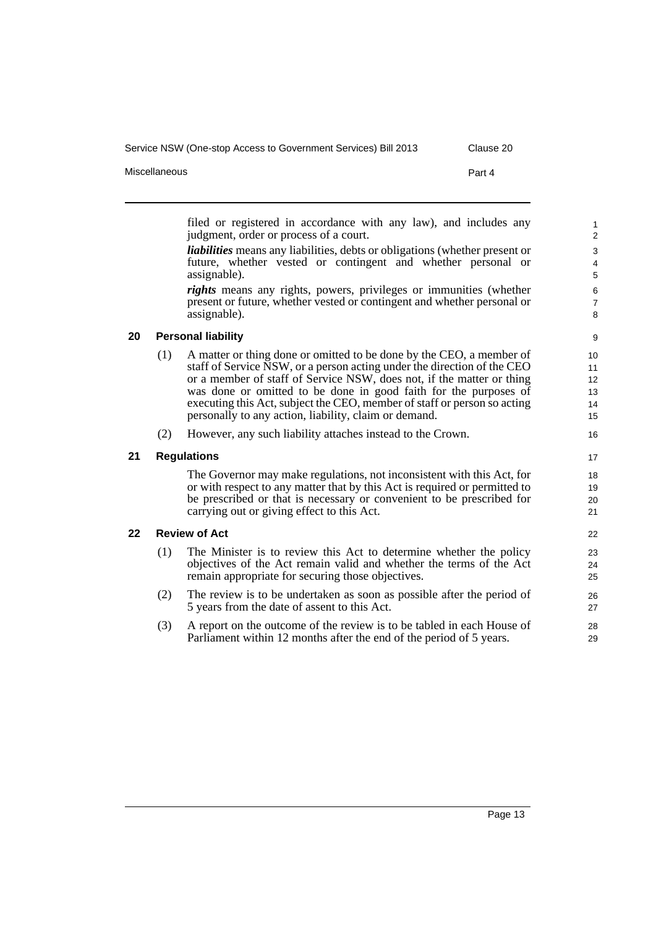filed or registered in accordance with any law), and includes any judgment, order or process of a court.

*liabilities* means any liabilities, debts or obligations (whether present or future, whether vested or contingent and whether personal or assignable).

*rights* means any rights, powers, privileges or immunities (whether present or future, whether vested or contingent and whether personal or assignable).

## 8 9

#### <span id="page-18-0"></span>**20 Personal liability**

- (1) A matter or thing done or omitted to be done by the CEO, a member of staff of Service NSW, or a person acting under the direction of the CEO or a member of staff of Service NSW, does not, if the matter or thing was done or omitted to be done in good faith for the purposes of executing this Act, subject the CEO, member of staff or person so acting personally to any action, liability, claim or demand.
- (2) However, any such liability attaches instead to the Crown.

#### <span id="page-18-1"></span>**21 Regulations**

The Governor may make regulations, not inconsistent with this Act, for or with respect to any matter that by this Act is required or permitted to be prescribed or that is necessary or convenient to be prescribed for carrying out or giving effect to this Act.

#### <span id="page-18-2"></span>**22 Review of Act**

- (1) The Minister is to review this Act to determine whether the policy objectives of the Act remain valid and whether the terms of the Act remain appropriate for securing those objectives.
- (2) The review is to be undertaken as soon as possible after the period of 5 years from the date of assent to this Act.
- (3) A report on the outcome of the review is to be tabled in each House of Parliament within 12 months after the end of the period of 5 years.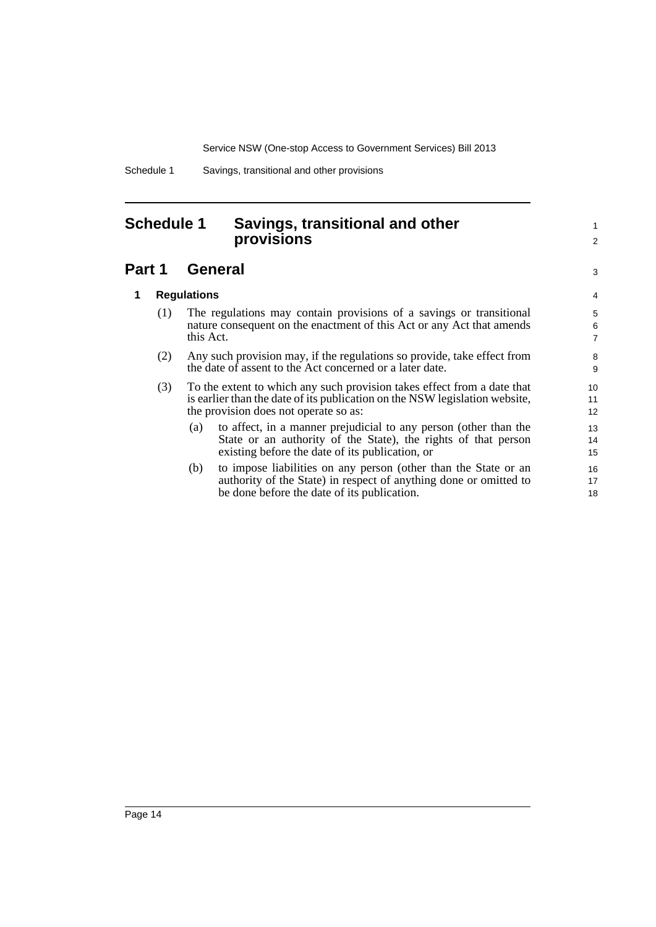1 2

3

Schedule 1 Savings, transitional and other provisions

## <span id="page-19-0"></span>**Schedule 1 Savings, transitional and other provisions**

## **Part 1 General**

#### **1 Regulations**

- (1) The regulations may contain provisions of a savings or transitional nature consequent on the enactment of this Act or any Act that amends this Act.
- (2) Any such provision may, if the regulations so provide, take effect from the date of assent to the Act concerned or a later date.
- (3) To the extent to which any such provision takes effect from a date that is earlier than the date of its publication on the NSW legislation website, the provision does not operate so as:
	- (a) to affect, in a manner prejudicial to any person (other than the State or an authority of the State), the rights of that person existing before the date of its publication, or
	- (b) to impose liabilities on any person (other than the State or an authority of the State) in respect of anything done or omitted to be done before the date of its publication.